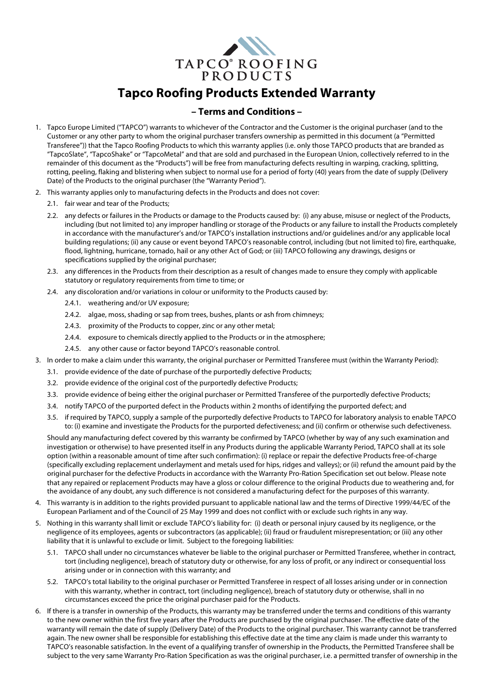

## **Tapco Roofing Products Extended Warranty**

## **– Terms and Conditions –**

- 1. Tapco Europe Limited ("TAPCO") warrants to whichever of the Contractor and the Customer is the original purchaser (and to the Customer or any other party to whom the original purchaser transfers ownership as permitted in this document (a "Permitted Transferee")) that the Tapco Roofing Products to which this warranty applies (i.e. only those TAPCO products that are branded as "TapcoSlate", "TapcoShake" or "TapcoMetal" and that are sold and purchased in the European Union, collectively referred to in the remainder of this document as the "Products") will be free from manufacturing defects resulting in warping, cracking, splitting, rotting, peeling, flaking and blistering when subject to normal use for a period of forty (40) years from the date of supply (Delivery Date) of the Products to the original purchaser (the "Warranty Period").
- 2. This warranty applies only to manufacturing defects in the Products and does not cover:
	- 2.1. fair wear and tear of the Products;
	- 2.2. any defects or failures in the Products or damage to the Products caused by: (i) any abuse, misuse or neglect of the Products, including (but not limited to) any improper handling or storage of the Products or any failure to install the Products completely in accordance with the manufacturer's and/or TAPCO's installation instructions and/or guidelines and/or any applicable local building regulations; (ii) any cause or event beyond TAPCO's reasonable control, including (but not limited to) fire, earthquake, flood, lightning, hurricane, tornado, hail or any other Act of God; or (iii) TAPCO following any drawings, designs or specifications supplied by the original purchaser;
	- 2.3. any differences in the Products from their description as a result of changes made to ensure they comply with applicable statutory or regulatory requirements from time to time; or
	- 2.4. any discoloration and/or variations in colour or uniformity to the Products caused by:
		- 2.4.1. weathering and/or UV exposure;
		- 2.4.2. algae, moss, shading or sap from trees, bushes, plants or ash from chimneys;
		- 2.4.3. proximity of the Products to copper, zinc or any other metal;
		- 2.4.4. exposure to chemicals directly applied to the Products or in the atmosphere;
		- 2.4.5. any other cause or factor beyond TAPCO's reasonable control.
- 3. In order to make a claim under this warranty, the original purchaser or Permitted Transferee must (within the Warranty Period):
	- 3.1. provide evidence of the date of purchase of the purportedly defective Products;
	- 3.2. provide evidence of the original cost of the purportedly defective Products;
	- 3.3. provide evidence of being either the original purchaser or Permitted Transferee of the purportedly defective Products;
	- 3.4. notify TAPCO of the purported defect in the Products within 2 months of identifying the purported defect; and
	- 3.5. if required by TAPCO, supply a sample of the purportedly defective Products to TAPCO for laboratory analysis to enable TAPCO to: (i) examine and investigate the Products for the purported defectiveness; and (ii) confirm or otherwise such defectiveness.

Should any manufacturing defect covered by this warranty be confirmed by TAPCO (whether by way of any such examination and investigation or otherwise) to have presented itself in any Products during the applicable Warranty Period, TAPCO shall at its sole option (within a reasonable amount of time after such confirmation): (i) replace or repair the defective Products free-of-charge (specifically excluding replacement underlayment and metals used for hips, ridges and valleys); or (ii) refund the amount paid by the original purchaser for the defective Products in accordance with the Warranty Pro-Ration Specification set out below. Please note that any repaired or replacement Products may have a gloss or colour difference to the original Products due to weathering and, for the avoidance of any doubt, any such difference is not considered a manufacturing defect for the purposes of this warranty.

- 4. This warranty is in addition to the rights provided pursuant to applicable national law and the terms of Directive 1999/44/EC of the European Parliament and of the Council of 25 May 1999 and does not conflict with or exclude such rights in any way.
- 5. Nothing in this warranty shall limit or exclude TAPCO's liability for: (i) death or personal injury caused by its negligence, or the negligence of its employees, agents or subcontractors (as applicable); (ii) fraud or fraudulent misrepresentation; or (iii) any other liability that it is unlawful to exclude or limit. Subject to the foregoing liabilities:
	- 5.1. TAPCO shall under no circumstances whatever be liable to the original purchaser or Permitted Transferee, whether in contract, tort (including negligence), breach of statutory duty or otherwise, for any loss of profit, or any indirect or consequential loss arising under or in connection with this warranty; and
	- 5.2. TAPCO's total liability to the original purchaser or Permitted Transferee in respect of all losses arising under or in connection with this warranty, whether in contract, tort (including negligence), breach of statutory duty or otherwise, shall in no circumstances exceed the price the original purchaser paid for the Products.
- 6. If there is a transfer in ownership of the Products, this warranty may be transferred under the terms and conditions of this warranty to the new owner within the first five years after the Products are purchased by the original purchaser. The effective date of the warranty will remain the date of supply (Delivery Date) of the Products to the original purchaser. This warranty cannot be transferred again. The new owner shall be responsible for establishing this effective date at the time any claim is made under this warranty to TAPCO's reasonable satisfaction. In the event of a qualifying transfer of ownership in the Products, the Permitted Transferee shall be subject to the very same Warranty Pro-Ration Specification as was the original purchaser, i.e. a permitted transfer of ownership in the